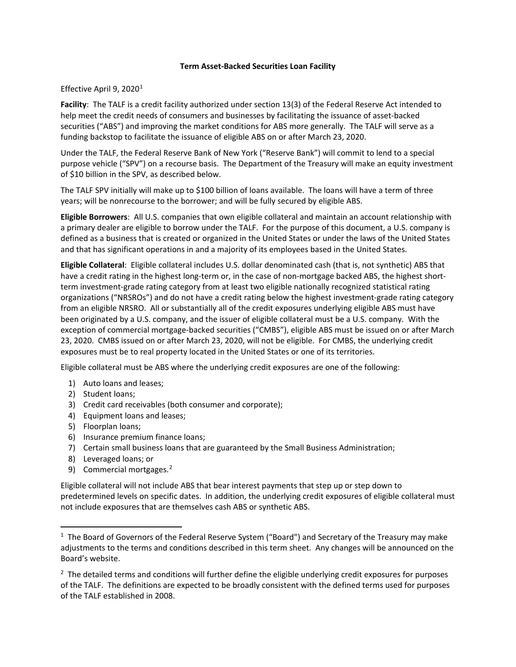## **Term Asset-Backed Securities Loan Facility**

## Effective April 9, 2020<sup>[1](#page-0-0)</sup>

**Facility**: The TALF is a credit facility authorized under section 13(3) of the Federal Reserve Act intended to help meet the credit needs of consumers and businesses by facilitating the issuance of asset-backed securities ("ABS") and improving the market conditions for ABS more generally. The TALF will serve as a funding backstop to facilitate the issuance of eligible ABS on or after March 23, 2020.

Under the TALF, the Federal Reserve Bank of New York ("Reserve Bank") will commit to lend to a special purpose vehicle ("SPV") on a recourse basis. The Department of the Treasury will make an equity investment of \$10 billion in the SPV, as described below.

The TALF SPV initially will make up to \$100 billion of loans available. The loans will have a term of three years; will be nonrecourse to the borrower; and will be fully secured by eligible ABS.

**Eligible Borrowers**: All U.S. companies that own eligible collateral and maintain an account relationship with a primary dealer are eligible to borrow under the TALF. For the purpose of this document, a U.S. company is defined as a business that is created or organized in the United States or under the laws of the United States and that has significant operations in and a majority of its employees based in the United States.

**Eligible Collateral**: Eligible collateral includes U.S. dollar denominated cash (that is, not synthetic) ABS that have a credit rating in the highest long-term or, in the case of non-mortgage backed ABS, the highest shortterm investment-grade rating category from at least two eligible nationally recognized statistical rating organizations ("NRSROs") and do not have a credit rating below the highest investment-grade rating category from an eligible NRSRO. All or substantially all of the credit exposures underlying eligible ABS must have been originated by a U.S. company, and the issuer of eligible collateral must be a U.S. company. With the exception of commercial mortgage-backed securities ("CMBS"), eligible ABS must be issued on or after March 23, 2020. CMBS issued on or after March 23, 2020, will not be eligible. For CMBS, the underlying credit exposures must be to real property located in the United States or one of its territories.

Eligible collateral must be ABS where the underlying credit exposures are one of the following:

- 1) Auto loans and leases;
- 2) Student loans;
- 3) Credit card receivables (both consumer and corporate);
- 4) Equipment loans and leases;
- 5) Floorplan loans;
- 6) Insurance premium finance loans;
- 7) Certain small business loans that are guaranteed by the Small Business Administration;
- 8) Leveraged loans; or
- 9) Commercial mortgages.<sup>[2](#page-0-1)</sup>

Eligible collateral will not include ABS that bear interest payments that step up or step down to predetermined levels on specific dates. In addition, the underlying credit exposures of eligible collateral must not include exposures that are themselves cash ABS or synthetic ABS.

<span id="page-0-0"></span> $<sup>1</sup>$  The Board of Governors of the Federal Reserve System ("Board") and Secretary of the Treasury may make</sup> adjustments to the terms and conditions described in this term sheet. Any changes will be announced on the Board's website.

<span id="page-0-1"></span><sup>&</sup>lt;sup>2</sup> The detailed terms and conditions will further define the eligible underlying credit exposures for purposes of the TALF. The definitions are expected to be broadly consistent with the defined terms used for purposes of the TALF established in 2008.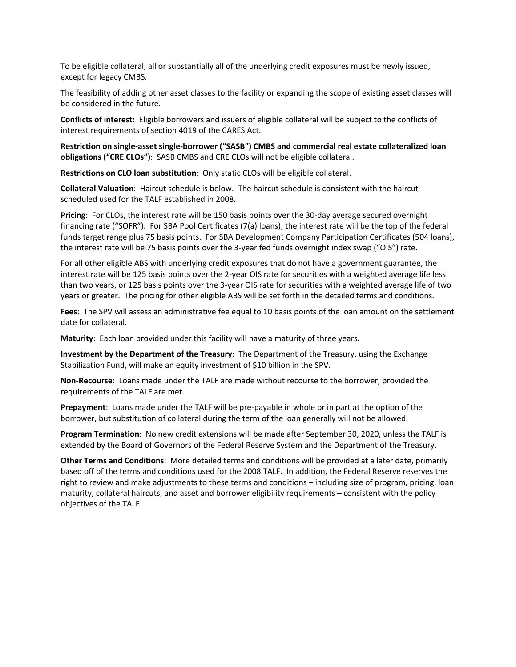To be eligible collateral, all or substantially all of the underlying credit exposures must be newly issued, except for legacy CMBS.

The feasibility of adding other asset classes to the facility or expanding the scope of existing asset classes will be considered in the future.

**Conflicts of interest:** Eligible borrowers and issuers of eligible collateral will be subject to the conflicts of interest requirements of section 4019 of the CARES Act.

**Restriction on single-asset single-borrower ("SASB") CMBS and commercial real estate collateralized loan obligations ("CRE CLOs")**: SASB CMBS and CRE CLOs will not be eligible collateral.

**Restrictions on CLO loan substitution**: Only static CLOs will be eligible collateral.

**Collateral Valuation**: Haircut schedule is below. The haircut schedule is consistent with the haircut scheduled used for the TALF established in 2008.

**Pricing**: For CLOs, the interest rate will be 150 basis points over the 30-day average secured overnight financing rate ("SOFR"). For SBA Pool Certificates (7(a) loans), the interest rate will be the top of the federal funds target range plus 75 basis points. For SBA Development Company Participation Certificates (504 loans), the interest rate will be 75 basis points over the 3-year fed funds overnight index swap ("OIS") rate.

For all other eligible ABS with underlying credit exposures that do not have a government guarantee, the interest rate will be 125 basis points over the 2-year OIS rate for securities with a weighted average life less than two years, or 125 basis points over the 3-year OIS rate for securities with a weighted average life of two years or greater. The pricing for other eligible ABS will be set forth in the detailed terms and conditions.

**Fees**: The SPV will assess an administrative fee equal to 10 basis points of the loan amount on the settlement date for collateral.

**Maturity**: Each loan provided under this facility will have a maturity of three years.

**Investment by the Department of the Treasury**: The Department of the Treasury, using the Exchange Stabilization Fund, will make an equity investment of \$10 billion in the SPV.

**Non-Recourse**: Loans made under the TALF are made without recourse to the borrower, provided the requirements of the TALF are met.

**Prepayment**: Loans made under the TALF will be pre-payable in whole or in part at the option of the borrower, but substitution of collateral during the term of the loan generally will not be allowed.

**Program Termination**: No new credit extensions will be made after September 30, 2020, unless the TALF is extended by the Board of Governors of the Federal Reserve System and the Department of the Treasury.

**Other Terms and Conditions**: More detailed terms and conditions will be provided at a later date, primarily based off of the terms and conditions used for the 2008 TALF. In addition, the Federal Reserve reserves the right to review and make adjustments to these terms and conditions – including size of program, pricing, loan maturity, collateral haircuts, and asset and borrower eligibility requirements – consistent with the policy objectives of the TALF.